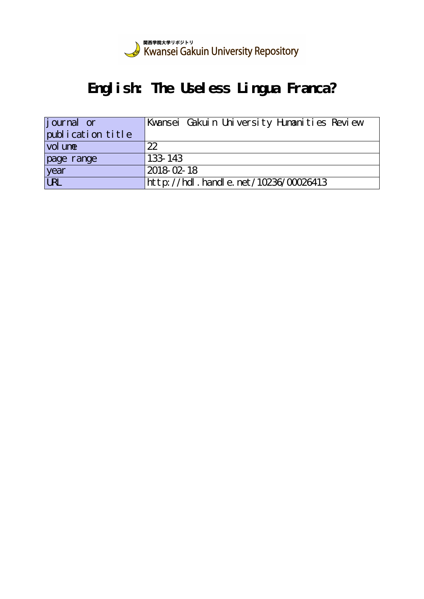

# **English: The Useless Lingua Franca?**

| journal or        | Kwansei Gakuin University Humanities Review |
|-------------------|---------------------------------------------|
| publication title |                                             |
| vol une           | 22                                          |
| page range        | 133-143                                     |
| year<br>URL       | 2018-02-18                                  |
|                   | http://hdl.handle.net/10236/00026413        |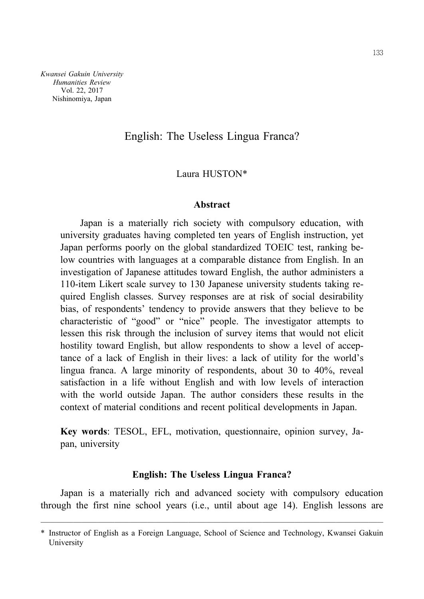*Kwansei Gakuin University Humanities Review* Vol. 22, 2017 Nishinomiya, Japan

## English: The Useless Lingua Franca?

## Laura HUSTON\*

#### **Abstract**

Japan is a materially rich society with compulsory education, with university graduates having completed ten years of English instruction, yet Japan performs poorly on the global standardized TOEIC test, ranking below countries with languages at a comparable distance from English. In an investigation of Japanese attitudes toward English, the author administers a 110-item Likert scale survey to 130 Japanese university students taking required English classes. Survey responses are at risk of social desirability bias, of respondents' tendency to provide answers that they believe to be characteristic of "good" or "nice" people. The investigator attempts to lessen this risk through the inclusion of survey items that would not elicit hostility toward English, but allow respondents to show a level of acceptance of a lack of English in their lives: a lack of utility for the world's lingua franca. A large minority of respondents, about 30 to 40%, reveal satisfaction in a life without English and with low levels of interaction with the world outside Japan. The author considers these results in the context of material conditions and recent political developments in Japan.

**Key words**: TESOL, EFL, motivation, questionnaire, opinion survey, Japan, university

### **English: The Useless Lingua Franca?**

Japan is a materially rich and advanced society with compulsory education through the first nine school years (i.e., until about age 14). English lessons are

<sup>──────────────────────────────────────────</sup> \* Instructor of English as a Foreign Language, School of Science and Technology, Kwansei Gakuin University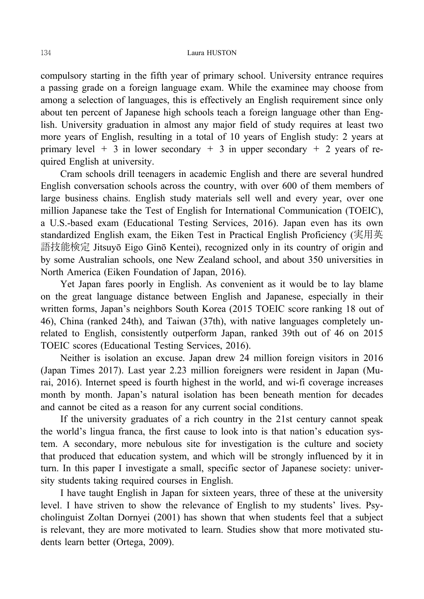compulsory starting in the fifth year of primary school. University entrance requires a passing grade on a foreign language exam. While the examinee may choose from among a selection of languages, this is effectively an English requirement since only about ten percent of Japanese high schools teach a foreign language other than English. University graduation in almost any major field of study requires at least two more years of English, resulting in a total of 10 years of English study: 2 years at primary level  $+$  3 in lower secondary  $+$  3 in upper secondary  $+$  2 years of required English at university.

Cram schools drill teenagers in academic English and there are several hundred English conversation schools across the country, with over 600 of them members of large business chains. English study materials sell well and every year, over one million Japanese take the Test of English for International Communication (TOEIC), a U.S.-based exam (Educational Testing Services, 2016). Japan even has its own standardized English exam, the Eiken Test in Practical English Proficiency (実用英 語技能検定 Jitsuyō Eigo Ginō Kentei), recognized only in its country of origin and by some Australian schools, one New Zealand school, and about 350 universities in North America (Eiken Foundation of Japan, 2016).

Yet Japan fares poorly in English. As convenient as it would be to lay blame on the great language distance between English and Japanese, especially in their written forms, Japan's neighbors South Korea (2015 TOEIC score ranking 18 out of 46), China (ranked 24th), and Taiwan (37th), with native languages completely unrelated to English, consistently outperform Japan, ranked 39th out of 46 on 2015 TOEIC scores (Educational Testing Services, 2016).

Neither is isolation an excuse. Japan drew 24 million foreign visitors in 2016 (Japan Times 2017). Last year 2.23 million foreigners were resident in Japan (Murai, 2016). Internet speed is fourth highest in the world, and wi-fi coverage increases month by month. Japan's natural isolation has been beneath mention for decades and cannot be cited as a reason for any current social conditions.

If the university graduates of a rich country in the 21st century cannot speak the world's lingua franca, the first cause to look into is that nation's education system. A secondary, more nebulous site for investigation is the culture and society that produced that education system, and which will be strongly influenced by it in turn. In this paper I investigate a small, specific sector of Japanese society: university students taking required courses in English.

I have taught English in Japan for sixteen years, three of these at the university level. I have striven to show the relevance of English to my students' lives. Psycholinguist Zoltan Dornyei (2001) has shown that when students feel that a subject is relevant, they are more motivated to learn. Studies show that more motivated students learn better (Ortega, 2009).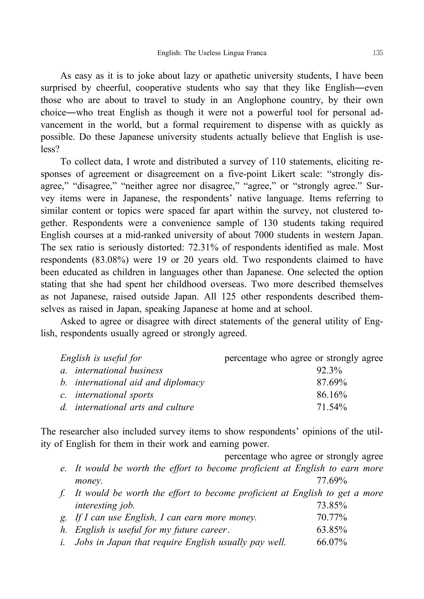As easy as it is to joke about lazy or apathetic university students, I have been surprised by cheerful, cooperative students who say that they like English―even those who are about to travel to study in an Anglophone country, by their own choice―who treat English as though it were not a powerful tool for personal advancement in the world, but a formal requirement to dispense with as quickly as possible. Do these Japanese university students actually believe that English is useless?

To collect data, I wrote and distributed a survey of 110 statements, eliciting responses of agreement or disagreement on a five-point Likert scale: "strongly disagree," "disagree," "neither agree nor disagree," "agree," or "strongly agree." Survey items were in Japanese, the respondents' native language. Items referring to similar content or topics were spaced far apart within the survey, not clustered together. Respondents were a convenience sample of 130 students taking required English courses at a mid-ranked university of about 7000 students in western Japan. The sex ratio is seriously distorted: 72.31% of respondents identified as male. Most respondents (83.08%) were 19 or 20 years old. Two respondents claimed to have been educated as children in languages other than Japanese. One selected the option stating that she had spent her childhood overseas. Two more described themselves as not Japanese, raised outside Japan. All 125 other respondents described themselves as raised in Japan, speaking Japanese at home and at school.

Asked to agree or disagree with direct statements of the general utility of English, respondents usually agreed or strongly agreed.

| English is useful for              | percentage who agree or strongly agree |  |  |  |  |  |  |
|------------------------------------|----------------------------------------|--|--|--|--|--|--|
| a. <i>international</i> business   | 92.3%                                  |  |  |  |  |  |  |
| b. international aid and diplomacy | 87.69%                                 |  |  |  |  |  |  |
| c. international sports            | 86.16%                                 |  |  |  |  |  |  |
| d. international arts and culture  | 71.54%                                 |  |  |  |  |  |  |

The researcher also included survey items to show respondents' opinions of the utility of English for them in their work and earning power.

|                                                                               | percentage who agree or strongly agree |  |
|-------------------------------------------------------------------------------|----------------------------------------|--|
| e. It would be worth the effort to become proficient at English to earn more  |                                        |  |
| money.                                                                        | 77.69%                                 |  |
| f. It would be worth the effort to become proficient at English to get a more |                                        |  |
| interesting job.                                                              | 73.85%                                 |  |
| g. If I can use English, I can earn more money.                               | 70.77%                                 |  |
| h. English is useful for my future career.                                    | 63.85%                                 |  |
| <i>i.</i> Jobs in Japan that require English usually pay well.                | 66.07%                                 |  |
|                                                                               |                                        |  |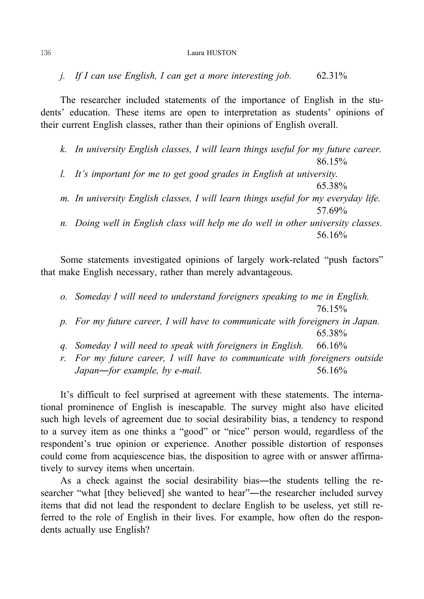*j. If I can use English, I can get a more interesting job.* 62.31%

The researcher included statements of the importance of English in the students' education. These items are open to interpretation as students' opinions of their current English classes, rather than their opinions of English overall.

*k. In university English classes, I will learn things useful for my future career.* 86.15%

*l. It's important for me to get good grades in English at university.*

*m. In university English classes, I will learn things useful for my everyday life.* 57.69%

65.38%

*n. Doing well in English class will help me do well in other university classes.* 56.16%

Some statements investigated opinions of largely work-related "push factors" that make English necessary, rather than merely advantageous.

*o. Someday I will need to understand foreigners speaking to me in English.* 76.15%

- *p. For my future career, I will have to communicate with foreigners in Japan.* 65.38%
- *q. Someday I will need to speak with foreigners in English.* 66.16%
- *r. For my future career, I will have to communicate with foreigners outside Japan—for example, by e-mail.* 56.16%

It's difficult to feel surprised at agreement with these statements. The international prominence of English is inescapable. The survey might also have elicited such high levels of agreement due to social desirability bias, a tendency to respond to a survey item as one thinks a "good" or "nice" person would, regardless of the respondent's true opinion or experience. Another possible distortion of responses could come from acquiescence bias, the disposition to agree with or answer affirmatively to survey items when uncertain.

As a check against the social desirability bias―the students telling the researcher "what [they believed] she wanted to hear"―the researcher included survey items that did not lead the respondent to declare English to be useless, yet still referred to the role of English in their lives. For example, how often do the respondents actually use English?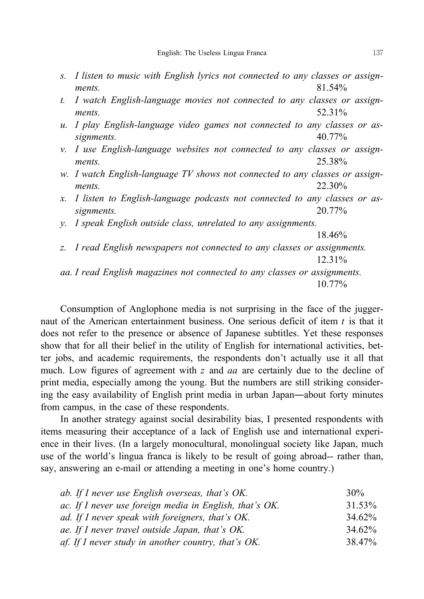- *s. I listen to music with English lyrics not connected to any classes or assignments.* 81.54%
- *t. I watch English-language movies not connected to any classes or assignments.* 52.31%
- *u. I play English-language video games not connected to any classes or assignments.* 40.77%
- *v. I use English-language websites not connected to any classes or assignments.* 25.38%
- *w. I watch English-language TV shows not connected to any classes or assignments.* 22.30%
- *x. I listen to English-language podcasts not connected to any classes or assignments.* 20.77%
- *y. I speak English outside class, unrelated to any assignments.*

18.46%

*z. I read English newspapers not connected to any classes or assignments.* 12.31% *aa. I read English magazines not connected to any classes or assignments.*

10.77%

Consumption of Anglophone media is not surprising in the face of the juggernaut of the American entertainment business. One serious deficit of item *t* is that it does not refer to the presence or absence of Japanese subtitles. Yet these responses show that for all their belief in the utility of English for international activities, better jobs, and academic requirements, the respondents don't actually use it all that much. Low figures of agreement with *z* and *aa* are certainly due to the decline of print media, especially among the young. But the numbers are still striking considering the easy availability of English print media in urban Japan―about forty minutes from campus, in the case of these respondents.

In another strategy against social desirability bias, I presented respondents with items measuring their acceptance of a lack of English use and international experience in their lives. (In a largely monocultural, monolingual society like Japan, much use of the world's lingua franca is likely to be result of going abroad-- rather than, say, answering an e-mail or attending a meeting in one's home country.)

| ab. If I never use English overseas, that's OK.         | 30%    |
|---------------------------------------------------------|--------|
| ac. If I never use foreign media in English, that's OK. | 31.53% |
| ad. If I never speak with foreigners, that's OK.        | 34.62% |
| ae. If I never travel outside Japan, that's OK.         | 34.62% |
| af. If I never study in another country, that's $OK$ .  | 38.47% |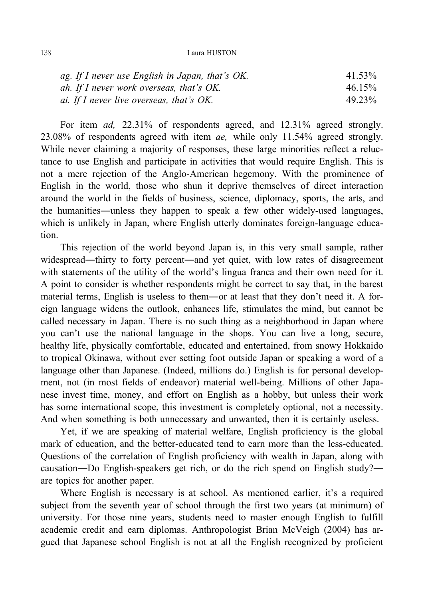| ag. If I never use English in Japan, that's OK. | 41.53% |
|-------------------------------------------------|--------|
| ah. If I never work overseas, that's OK.        | 46.15% |
| ai. If I never live overseas, that's OK.        | 49.23% |

For item *ad,* 22.31% of respondents agreed, and 12.31% agreed strongly. 23.08% of respondents agreed with item *ae,* while only 11.54% agreed strongly. While never claiming a majority of responses, these large minorities reflect a reluctance to use English and participate in activities that would require English. This is not a mere rejection of the Anglo-American hegemony. With the prominence of English in the world, those who shun it deprive themselves of direct interaction around the world in the fields of business, science, diplomacy, sports, the arts, and the humanities―unless they happen to speak a few other widely-used languages, which is unlikely in Japan, where English utterly dominates foreign-language education.

This rejection of the world beyond Japan is, in this very small sample, rather widespread—thirty to forty percent—and yet quiet, with low rates of disagreement with statements of the utility of the world's lingua franca and their own need for it. A point to consider is whether respondents might be correct to say that, in the barest material terms, English is useless to them―or at least that they don't need it. A foreign language widens the outlook, enhances life, stimulates the mind, but cannot be called necessary in Japan. There is no such thing as a neighborhood in Japan where you can't use the national language in the shops. You can live a long, secure, healthy life, physically comfortable, educated and entertained, from snowy Hokkaido to tropical Okinawa, without ever setting foot outside Japan or speaking a word of a language other than Japanese. (Indeed, millions do.) English is for personal development, not (in most fields of endeavor) material well-being. Millions of other Japanese invest time, money, and effort on English as a hobby, but unless their work has some international scope, this investment is completely optional, not a necessity. And when something is both unnecessary and unwanted, then it is certainly useless.

Yet, if we are speaking of material welfare, English proficiency is the global mark of education, and the better-educated tend to earn more than the less-educated. Questions of the correlation of English proficiency with wealth in Japan, along with causation―Do English-speakers get rich, or do the rich spend on English study?― are topics for another paper.

Where English is necessary is at school. As mentioned earlier, it's a required subject from the seventh year of school through the first two years (at minimum) of university. For those nine years, students need to master enough English to fulfill academic credit and earn diplomas. Anthropologist Brian McVeigh (2004) has argued that Japanese school English is not at all the English recognized by proficient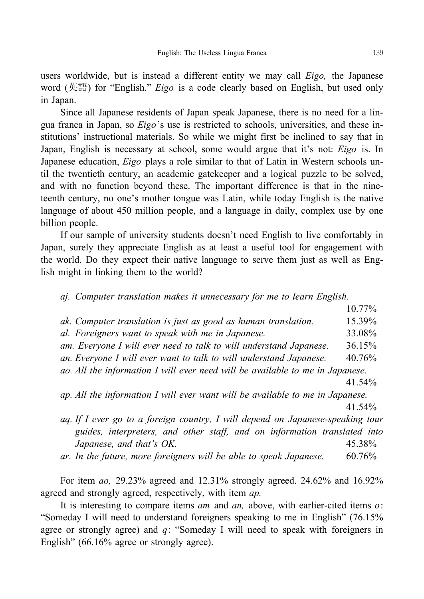users worldwide, but is instead a different entity we may call *Eigo,* the Japanese word (英語) for "English." *Eigo* is a code clearly based on English, but used only in Japan.

Since all Japanese residents of Japan speak Japanese, there is no need for a lingua franca in Japan, so *Eigo*'s use is restricted to schools, universities, and these institutions' instructional materials. So while we might first be inclined to say that in Japan, English is necessary at school, some would argue that it's not: *Eigo* is. In Japanese education, *Eigo* plays a role similar to that of Latin in Western schools until the twentieth century, an academic gatekeeper and a logical puzzle to be solved, and with no function beyond these. The important difference is that in the nineteenth century, no one's mother tongue was Latin, while today English is the native language of about 450 million people, and a language in daily, complex use by one billion people.

If our sample of university students doesn't need English to live comfortably in Japan, surely they appreciate English as at least a useful tool for engagement with the world. Do they expect their native language to serve them just as well as English might in linking them to the world?

*aj. Computer translation makes it unnecessary for me to learn English.*

10.77%

- *ak. Computer translation is just as good as human translation.* 15.39%
- *al. Foreigners want to speak with me in Japanese.* 33.08%
- *am. Everyone I will ever need to talk to will understand Japanese.* 36.15%
- *an. Everyone I will ever want to talk to will understand Japanese.* 40.76%

*ao. All the information I will ever need will be available to me in Japanese.*

41.54%

*ap. All the information I will ever want will be available to me in Japanese.*

41.54%

- *aq. If I ever go to a foreign country, I will depend on Japanese-speaking tour guides, interpreters, and other staff, and on information translated into Japanese, and that's OK.* 45.38%
- *ar. In the future, more foreigners will be able to speak Japanese.* 60.76%

For item *ao,* 29.23% agreed and 12.31% strongly agreed. 24.62% and 16.92% agreed and strongly agreed, respectively, with item *ap.*

It is interesting to compare items *am* and *an,* above, with earlier-cited items *o*: "Someday I will need to understand foreigners speaking to me in English" (76.15% agree or strongly agree) and *q*: "Someday I will need to speak with foreigners in English" (66.16% agree or strongly agree).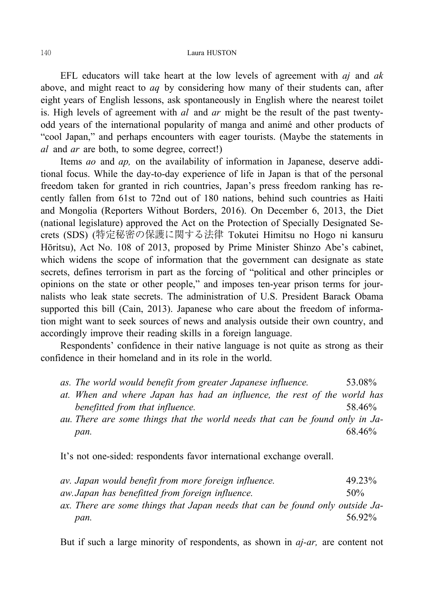EFL educators will take heart at the low levels of agreement with *aj* and *ak* above, and might react to *aq* by considering how many of their students can, after eight years of English lessons, ask spontaneously in English where the nearest toilet is. High levels of agreement with *al* and *ar* might be the result of the past twentyodd years of the international popularity of manga and animé and other products of "cool Japan," and perhaps encounters with eager tourists. (Maybe the statements in *al* and *ar* are both, to some degree, correct!)

Items *ao* and *ap,* on the availability of information in Japanese, deserve additional focus. While the day-to-day experience of life in Japan is that of the personal freedom taken for granted in rich countries, Japan's press freedom ranking has recently fallen from 61st to 72nd out of 180 nations, behind such countries as Haiti and Mongolia (Reporters Without Borders, 2016). On December 6, 2013, the Diet (national legislature) approved the Act on the Protection of Specially Designated Secrets (SDS) (特定秘密の保護に関する法律 Tokutei Himitsu no Hogo ni kansuru Hōritsu), Act No. 108 of 2013, proposed by Prime Minister Shinzo Abe's cabinet, which widens the scope of information that the government can designate as state secrets, defines terrorism in part as the forcing of "political and other principles or opinions on the state or other people," and imposes ten-year prison terms for journalists who leak state secrets. The administration of U.S. President Barack Obama supported this bill (Cain, 2013). Japanese who care about the freedom of information might want to seek sources of news and analysis outside their own country, and accordingly improve their reading skills in a foreign language.

Respondents' confidence in their native language is not quite as strong as their confidence in their homeland and in its role in the world.

|  |  |  |  | as. The world would benefit from greater Japanese influence. |  |  |  | 53.08% |
|--|--|--|--|--------------------------------------------------------------|--|--|--|--------|
|--|--|--|--|--------------------------------------------------------------|--|--|--|--------|

- *at. When and where Japan has had an influence, the rest of the world has benefitted from that influence.* 58.46%
- *au. There are some things that the world needs that can be found only in Japan.* 68.46%

It's not one-sided: respondents favor international exchange overall.

| av. Japan would benefit from more foreign influence.                          | 49.23% |
|-------------------------------------------------------------------------------|--------|
| aw. Japan has benefitted from foreign influence.                              | $50\%$ |
| ax. There are some things that Japan needs that can be found only outside Ja- |        |
| pan.                                                                          | 56 92% |

But if such a large minority of respondents, as shown in *aj-ar,* are content not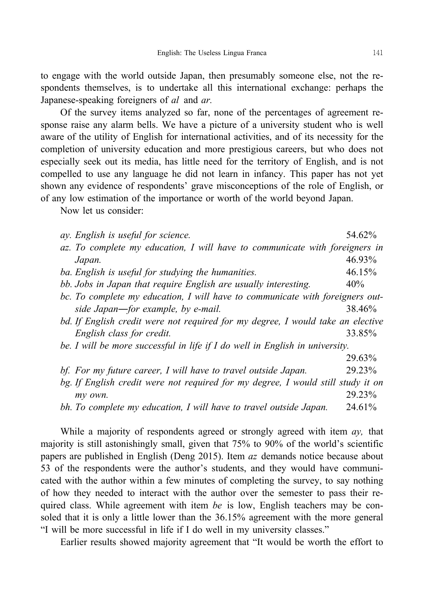to engage with the world outside Japan, then presumably someone else, not the respondents themselves, is to undertake all this international exchange: perhaps the Japanese-speaking foreigners of *al* and *ar.*

Of the survey items analyzed so far, none of the percentages of agreement response raise any alarm bells. We have a picture of a university student who is well aware of the utility of English for international activities, and of its necessity for the completion of university education and more prestigious careers, but who does not especially seek out its media, has little need for the territory of English, and is not compelled to use any language he did not learn in infancy. This paper has not yet shown any evidence of respondents' grave misconceptions of the role of English, or of any low estimation of the importance or worth of the world beyond Japan.

Now let us consider:

| ay. English is useful for science.                                               | 54.62%                       |
|----------------------------------------------------------------------------------|------------------------------|
| az. To complete my education, I will have to communicate with foreigners in      |                              |
| Japan.                                                                           | 46.93%                       |
| ba. English is useful for studying the humanities.                               | 46.15%                       |
| bb. Jobs in Japan that require English are usually interesting.                  | 40%                          |
| bc. To complete my education, I will have to communicate with foreigners out-    |                              |
| side Japan—for example, by e-mail.                                               | 38.46%                       |
| bd. If English credit were not required for my degree, I would take an elective  |                              |
| English class for credit.                                                        | 33.85%                       |
| be. I will be more successful in life if I do well in English in university.     |                              |
|                                                                                  | 29.63%                       |
| bf. For my future career, I will have to travel outside Japan.                   | 29.23%                       |
| bg. If English credit were not required for my degree, I would still study it on |                              |
| my own.                                                                          | 29.23%                       |
| $\mathbf{r}$ $\mathbf{r}$                                                        | $\sim$ 4 $\sim$ 1 0 $\prime$ |

*bh. To complete my education, I will have to travel outside Japan.* 24.61%

While a majority of respondents agreed or strongly agreed with item *ay,* that majority is still astonishingly small, given that 75% to 90% of the world's scientific papers are published in English (Deng 2015). Item *az* demands notice because about 53 of the respondents were the author's students, and they would have communicated with the author within a few minutes of completing the survey, to say nothing of how they needed to interact with the author over the semester to pass their required class. While agreement with item *be* is low, English teachers may be consoled that it is only a little lower than the 36.15% agreement with the more general "I will be more successful in life if I do well in my university classes."

Earlier results showed majority agreement that "It would be worth the effort to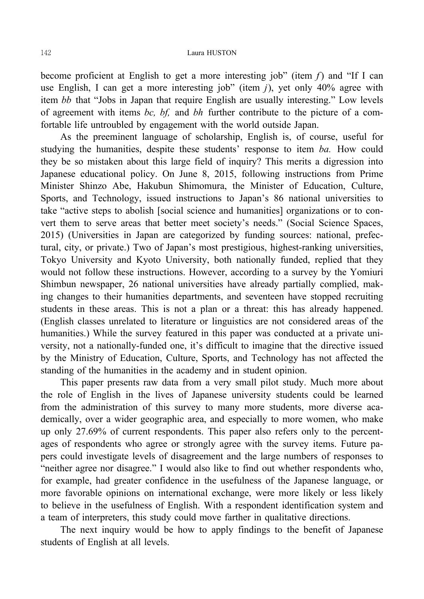become proficient at English to get a more interesting job" (item *f*) and "If I can use English, I can get a more interesting job" (item *j*), yet only 40% agree with item *bb* that "Jobs in Japan that require English are usually interesting." Low levels of agreement with items *bc, bf,* and *bh* further contribute to the picture of a comfortable life untroubled by engagement with the world outside Japan.

As the preeminent language of scholarship, English is, of course, useful for studying the humanities, despite these students' response to item *ba.* How could they be so mistaken about this large field of inquiry? This merits a digression into Japanese educational policy. On June 8, 2015, following instructions from Prime Minister Shinzo Abe, Hakubun Shimomura, the Minister of Education, Culture, Sports, and Technology, issued instructions to Japan's 86 national universities to take "active steps to abolish [social science and humanities] organizations or to convert them to serve areas that better meet society's needs." (Social Science Spaces, 2015) (Universities in Japan are categorized by funding sources: national, prefectural, city, or private.) Two of Japan's most prestigious, highest-ranking universities, Tokyo University and Kyoto University, both nationally funded, replied that they would not follow these instructions. However, according to a survey by the Yomiuri Shimbun newspaper, 26 national universities have already partially complied, making changes to their humanities departments, and seventeen have stopped recruiting students in these areas. This is not a plan or a threat: this has already happened. (English classes unrelated to literature or linguistics are not considered areas of the humanities.) While the survey featured in this paper was conducted at a private university, not a nationally-funded one, it's difficult to imagine that the directive issued by the Ministry of Education, Culture, Sports, and Technology has not affected the standing of the humanities in the academy and in student opinion.

This paper presents raw data from a very small pilot study. Much more about the role of English in the lives of Japanese university students could be learned from the administration of this survey to many more students, more diverse academically, over a wider geographic area, and especially to more women, who make up only 27.69% of current respondents. This paper also refers only to the percentages of respondents who agree or strongly agree with the survey items. Future papers could investigate levels of disagreement and the large numbers of responses to "neither agree nor disagree." I would also like to find out whether respondents who, for example, had greater confidence in the usefulness of the Japanese language, or more favorable opinions on international exchange, were more likely or less likely to believe in the usefulness of English. With a respondent identification system and a team of interpreters, this study could move farther in qualitative directions.

The next inquiry would be how to apply findings to the benefit of Japanese students of English at all levels.